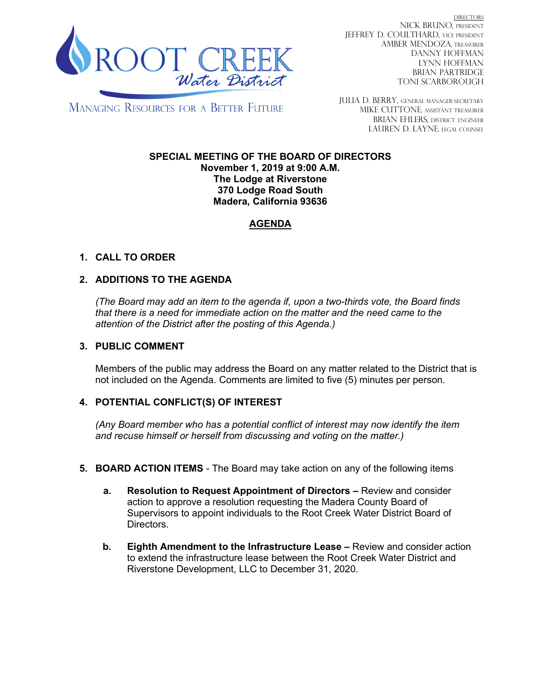

DIRECTORS NICK BRUNO, PRESIDENT JEFFREY D. COULTHARD, Vice President AMBER MENDOZA, TREASURER DANNY HOFFMAN LYNN HOFFMAN BRIAN PARTRIDGE TONI SCARBOROUGH

**MANAGING RESOURCES FOR A BETTER FUTURE** 

JULIA D. BERRY, GENERAL MANAGER/secretary MIKE CUTTONE, Assistant treasurer BRIAN EHLERS, DISTRICT ENGINEER LAUREN D. LAYNE, LEGAL COUNSEL

#### **SPECIAL MEETING OF THE BOARD OF DIRECTORS November 1, 2019 at 9:00 A.M. The Lodge at Riverstone 370 Lodge Road South Madera, California 93636**

# **AGENDA**

## **1. CALL TO ORDER**

## **2. ADDITIONS TO THE AGENDA**

*(The Board may add an item to the agenda if, upon a two-thirds vote, the Board finds that there is a need for immediate action on the matter and the need came to the attention of the District after the posting of this Agenda.)*

#### **3. PUBLIC COMMENT**

Members of the public may address the Board on any matter related to the District that is not included on the Agenda. Comments are limited to five (5) minutes per person.

#### **4. POTENTIAL CONFLICT(S) OF INTEREST**

*(Any Board member who has a potential conflict of interest may now identify the item and recuse himself or herself from discussing and voting on the matter.)*

- **5. BOARD ACTION ITEMS**  The Board may take action on any of the following items
	- **a. Resolution to Request Appointment of Directors –** Review and consider action to approve a resolution requesting the Madera County Board of Supervisors to appoint individuals to the Root Creek Water District Board of Directors.
	- **b. Eighth Amendment to the Infrastructure Lease –** Review and consider action to extend the infrastructure lease between the Root Creek Water District and Riverstone Development, LLC to December 31, 2020.